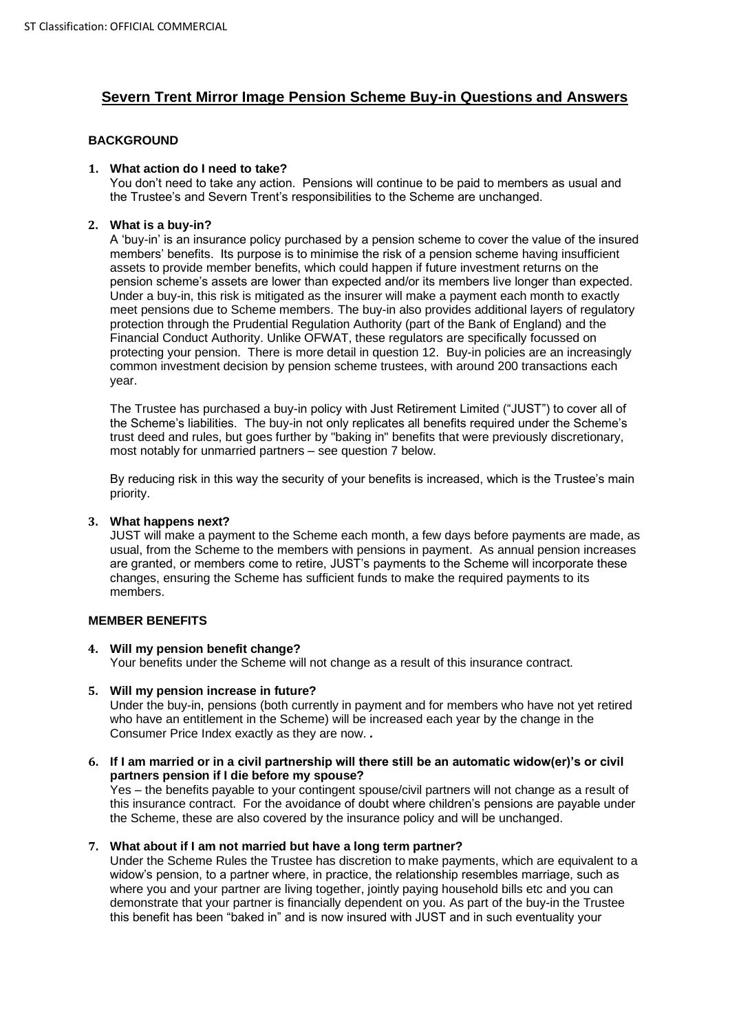# **Severn Trent Mirror Image Pension Scheme Buy-in Questions and Answers**

## **BACKGROUND**

## **1. What action do I need to take?**

You don't need to take any action. Pensions will continue to be paid to members as usual and the Trustee's and Severn Trent's responsibilities to the Scheme are unchanged.

## **2. What is a buy-in?**

A 'buy-in' is an insurance policy purchased by a pension scheme to cover the value of the insured members' benefits. Its purpose is to minimise the risk of a pension scheme having insufficient assets to provide member benefits, which could happen if future investment returns on the pension scheme's assets are lower than expected and/or its members live longer than expected. Under a buy-in, this risk is mitigated as the insurer will make a payment each month to exactly meet pensions due to Scheme members. The buy-in also provides additional layers of regulatory protection through the Prudential Regulation Authority (part of the Bank of England) and the Financial Conduct Authority. Unlike OFWAT, these regulators are specifically focussed on protecting your pension. There is more detail in question 12. Buy-in policies are an increasingly common investment decision by pension scheme trustees, with around 200 transactions each year.

The Trustee has purchased a buy-in policy with Just Retirement Limited ("JUST") to cover all of the Scheme's liabilities. The buy-in not only replicates all benefits required under the Scheme's trust deed and rules, but goes further by "baking in" benefits that were previously discretionary, most notably for unmarried partners – see question 7 below.

By reducing risk in this way the security of your benefits is increased, which is the Trustee's main priority.

## **3. What happens next?**

JUST will make a payment to the Scheme each month, a few days before payments are made, as usual, from the Scheme to the members with pensions in payment. As annual pension increases are granted, or members come to retire, JUST's payments to the Scheme will incorporate these changes, ensuring the Scheme has sufficient funds to make the required payments to its members.

## **MEMBER BENEFITS**

## **4. Will my pension benefit change?**

Your benefits under the Scheme will not change as a result of this insurance contract.

## **5. Will my pension increase in future?**

Under the buy-in, pensions (both currently in payment and for members who have not yet retired who have an entitlement in the Scheme) will be increased each year by the change in the Consumer Price Index exactly as they are now. *.*

## **6. If I am married or in a civil partnership will there still be an automatic widow(er)'s or civil partners pension if I die before my spouse?**

Yes – the benefits payable to your contingent spouse/civil partners will not change as a result of this insurance contract. For the avoidance of doubt where children's pensions are payable under the Scheme, these are also covered by the insurance policy and will be unchanged.

## **7. What about if I am not married but have a long term partner?**

Under the Scheme Rules the Trustee has discretion to make payments, which are equivalent to a widow's pension, to a partner where, in practice, the relationship resembles marriage, such as where you and your partner are living together, jointly paying household bills etc and you can demonstrate that your partner is financially dependent on you. As part of the buy-in the Trustee this benefit has been "baked in" and is now insured with JUST and in such eventuality your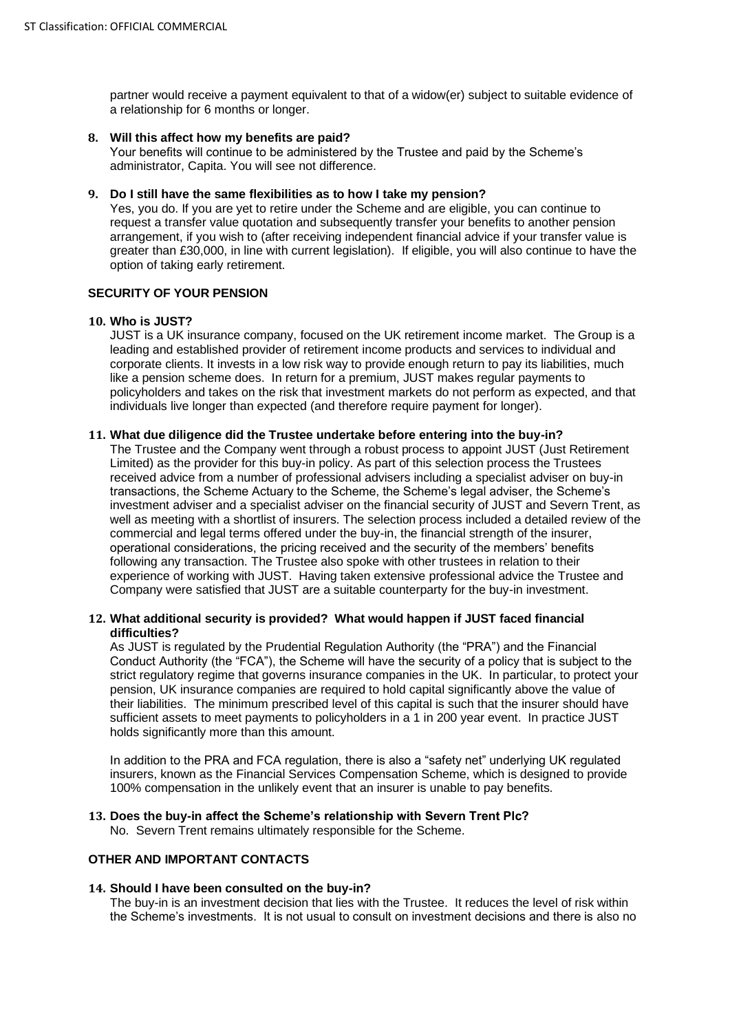partner would receive a payment equivalent to that of a widow(er) subject to suitable evidence of a relationship for 6 months or longer.

### **8. Will this affect how my benefits are paid?**

Your benefits will continue to be administered by the Trustee and paid by the Scheme's administrator, Capita. You will see not difference.

## **9. Do I still have the same flexibilities as to how I take my pension?**

Yes, you do. If you are yet to retire under the Scheme and are eligible, you can continue to request a transfer value quotation and subsequently transfer your benefits to another pension arrangement, if you wish to (after receiving independent financial advice if your transfer value is greater than £30,000, in line with current legislation). If eligible, you will also continue to have the option of taking early retirement.

## **SECURITY OF YOUR PENSION**

#### **10. Who is JUST?**

JUST is a UK insurance company, focused on the UK retirement income market. The Group is a leading and established provider of retirement income products and services to individual and corporate clients. It invests in a low risk way to provide enough return to pay its liabilities, much like a pension scheme does. In return for a premium, JUST makes regular payments to policyholders and takes on the risk that investment markets do not perform as expected, and that individuals live longer than expected (and therefore require payment for longer).

## **11. What due diligence did the Trustee undertake before entering into the buy-in?**

The Trustee and the Company went through a robust process to appoint JUST (Just Retirement Limited) as the provider for this buy-in policy. As part of this selection process the Trustees received advice from a number of professional advisers including a specialist adviser on buy-in transactions, the Scheme Actuary to the Scheme, the Scheme's legal adviser, the Scheme's investment adviser and a specialist adviser on the financial security of JUST and Severn Trent, as well as meeting with a shortlist of insurers. The selection process included a detailed review of the commercial and legal terms offered under the buy-in, the financial strength of the insurer, operational considerations, the pricing received and the security of the members' benefits following any transaction. The Trustee also spoke with other trustees in relation to their experience of working with JUST. Having taken extensive professional advice the Trustee and Company were satisfied that JUST are a suitable counterparty for the buy-in investment.

#### **12. What additional security is provided? What would happen if JUST faced financial difficulties?**

As JUST is regulated by the Prudential Regulation Authority (the "PRA") and the Financial Conduct Authority (the "FCA"), the Scheme will have the security of a policy that is subject to the strict regulatory regime that governs insurance companies in the UK. In particular, to protect your pension, UK insurance companies are required to hold capital significantly above the value of their liabilities. The minimum prescribed level of this capital is such that the insurer should have sufficient assets to meet payments to policyholders in a 1 in 200 year event. In practice JUST holds significantly more than this amount.

In addition to the PRA and FCA regulation, there is also a "safety net" underlying UK regulated insurers, known as the Financial Services Compensation Scheme, which is designed to provide 100% compensation in the unlikely event that an insurer is unable to pay benefits.

#### **13. Does the buy-in affect the Scheme's relationship with Severn Trent Plc?**

No. Severn Trent remains ultimately responsible for the Scheme.

## **OTHER AND IMPORTANT CONTACTS**

#### **14. Should I have been consulted on the buy-in?**

The buy-in is an investment decision that lies with the Trustee. It reduces the level of risk within the Scheme's investments. It is not usual to consult on investment decisions and there is also no